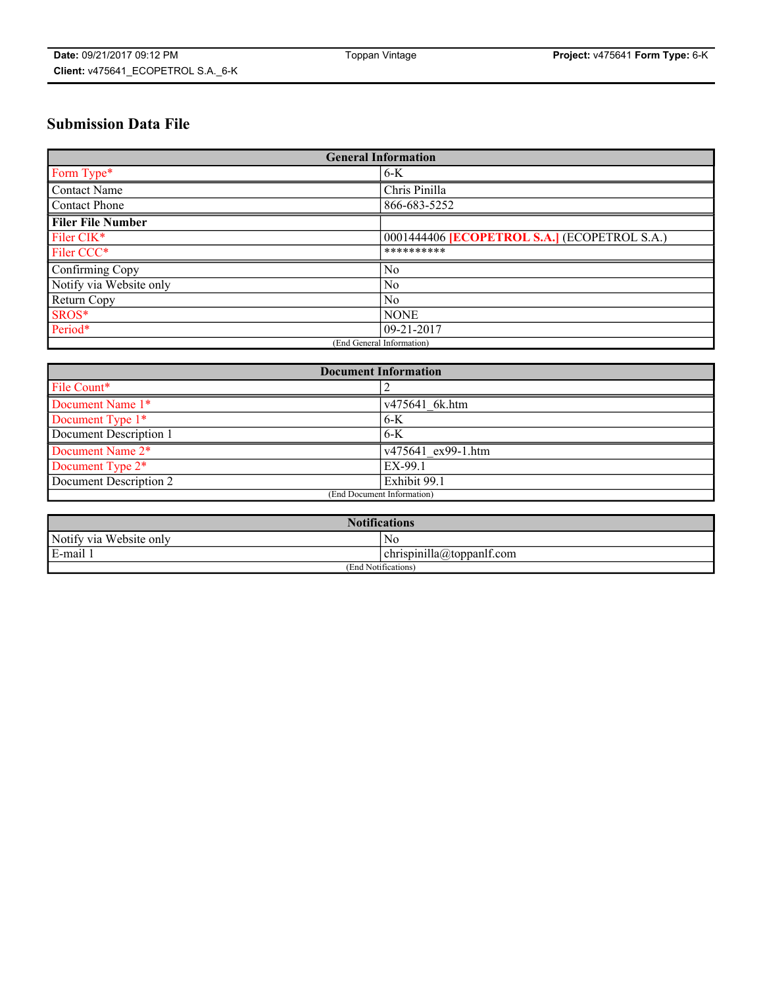# **Submission Data File**

| <b>General Information</b> |                                                     |
|----------------------------|-----------------------------------------------------|
| Form Type*                 | $6-K$                                               |
| Contact Name               | Chris Pinilla                                       |
| Contact Phone              | 866-683-5252                                        |
| <b>Filer File Number</b>   |                                                     |
| Filer CIK*                 | 0001444406 <b>[ECOPETROL S.A.]</b> (ECOPETROL S.A.) |
| Filer CCC*                 | **********                                          |
| Confirming Copy            | No                                                  |
| Notify via Website only    | $\overline{N_0}$                                    |
| <b>Return Copy</b>         | $\overline{N_0}$                                    |
| SROS*                      | <b>NONE</b>                                         |
| Period*                    | $09-21-2017$                                        |
| (End General Information)  |                                                     |

| <b>Document Information</b> |                    |
|-----------------------------|--------------------|
| File Count*                 |                    |
| Document Name 1*            | v475641 6k.htm     |
| Document Type 1*            | $6-K$              |
| Document Description 1      | $6-K$              |
| Document Name 2*            | v475641 ex99-1.htm |
| Document Type 2*            | EX-99.1            |
| Document Description 2      | Exhibit 99.1       |
| (End Document Information)  |                    |

| <b>Notifications</b>    |                                        |  |
|-------------------------|----------------------------------------|--|
| Notify via Website only | N0                                     |  |
| E-mail 1                | <br>10<br> chrispinilla(a)toppanIt.com |  |
| (End Notifications)     |                                        |  |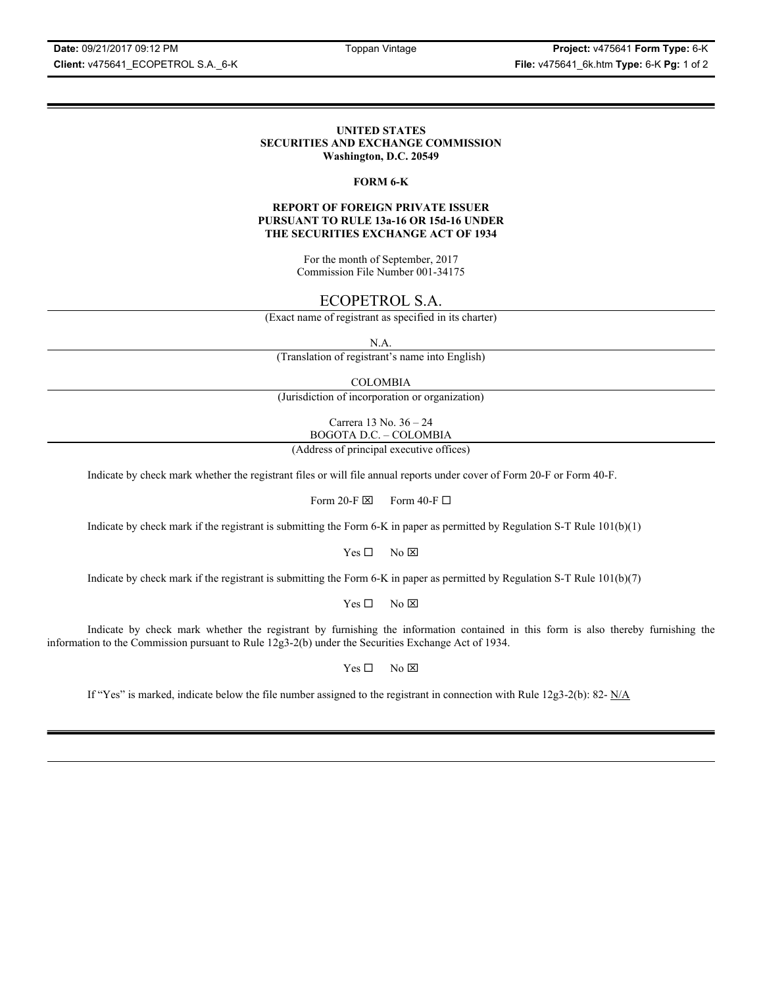**Client:** v475641\_ECOPETROL S.A.\_6-K **File:** v475641\_6k.htm **Type:** 6-K **Pg:** 1 of 2

### **UNITED STATES SECURITIES AND EXCHANGE COMMISSION Washington, D.C. 20549**

### **FORM 6-K**

### **REPORT OF FOREIGN PRIVATE ISSUER PURSUANT TO RULE 13a-16 OR 15d-16 UNDER THE SECURITIES EXCHANGE ACT OF 1934**

For the month of September, 2017 Commission File Number 001-34175

## ECOPETROL S.A.

(Exact name of registrant as specified in its charter)

N.A.

(Translation of registrant's name into English)

COLOMBIA

(Jurisdiction of incorporation or organization)

Carrera 13 No. 36 – 24 BOGOTA D.C. – COLOMBIA

(Address of principal executive offices)

Indicate by check mark whether the registrant files or will file annual reports under cover of Form 20-F or Form 40-F.

Form 20-F  $\boxtimes$  Form 40-F  $\Box$ 

Indicate by check mark if the registrant is submitting the Form 6-K in paper as permitted by Regulation S-T Rule 101(b)(1)

 $Yes \Box$  No  $\boxtimes$ 

Indicate by check mark if the registrant is submitting the Form 6-K in paper as permitted by Regulation S-T Rule 101(b)(7)

 $Yes \Box$  No  $\boxtimes$ 

Indicate by check mark whether the registrant by furnishing the information contained in this form is also thereby furnishing the information to the Commission pursuant to Rule 12g3-2(b) under the Securities Exchange Act of 1934.

 $Yes \Box$  No  $\boxtimes$ 

If "Yes" is marked, indicate below the file number assigned to the registrant in connection with Rule 12g3-2(b): 82-  $N/A$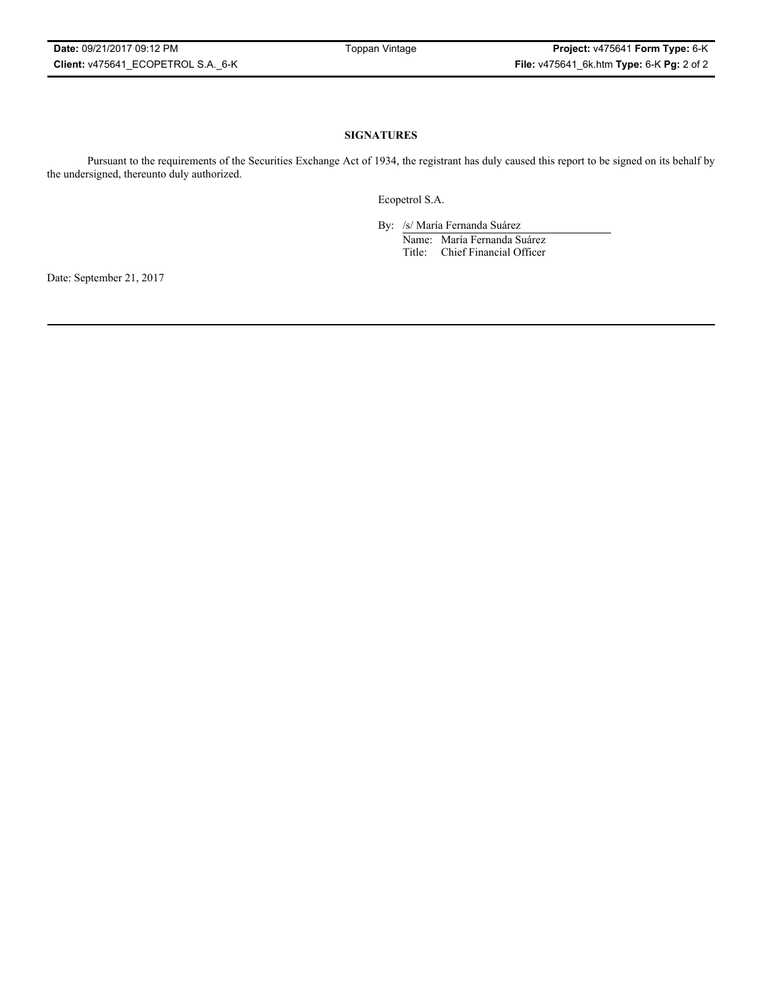### **SIGNATURES**

Pursuant to the requirements of the Securities Exchange Act of 1934, the registrant has duly caused this report to be signed on its behalf by the undersigned, thereunto duly authorized.

Ecopetrol S.A.

By: /s/ María Fernanda Suárez Name: María Fernanda Suárez Title: Chief Financial Officer

Date: September 21, 2017